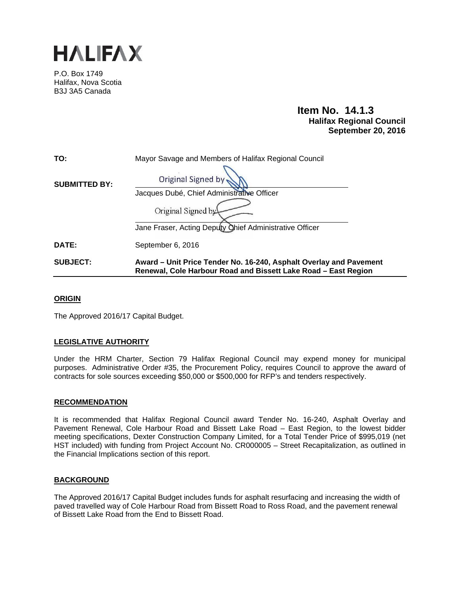

P.O. Box 1749 Halifax, Nova Scotia B3J 3A5 Canada

# **Item No. 14.1.3 Halifax Regional Council September 20, 2016**

| TO:                  | Mayor Savage and Members of Halifax Regional Council                                                                                 |  |  |
|----------------------|--------------------------------------------------------------------------------------------------------------------------------------|--|--|
| <b>SUBMITTED BY:</b> | <b>Original Signed by</b>                                                                                                            |  |  |
|                      | Jacques Dubé, Chief Administrative Officer                                                                                           |  |  |
|                      | Original Signed by                                                                                                                   |  |  |
|                      | Jane Fraser, Acting Deputy Chief Administrative Officer                                                                              |  |  |
| DATE:                | September 6, 2016                                                                                                                    |  |  |
| <b>SUBJECT:</b>      | Award – Unit Price Tender No. 16-240, Asphalt Overlay and Pavement<br>Renewal, Cole Harbour Road and Bissett Lake Road - East Region |  |  |

## **ORIGIN**

The Approved 2016/17 Capital Budget.

## **LEGISLATIVE AUTHORITY**

Under the HRM Charter, Section 79 Halifax Regional Council may expend money for municipal purposes. Administrative Order #35, the Procurement Policy, requires Council to approve the award of contracts for sole sources exceeding \$50,000 or \$500,000 for RFP's and tenders respectively.

## **RECOMMENDATION**

It is recommended that Halifax Regional Council award Tender No. 16-240, Asphalt Overlay and Pavement Renewal, Cole Harbour Road and Bissett Lake Road – East Region, to the lowest bidder meeting specifications, Dexter Construction Company Limited, for a Total Tender Price of \$995,019 (net HST included) with funding from Project Account No. CR000005 – Street Recapitalization, as outlined in the Financial Implications section of this report.

## **BACKGROUND**

The Approved 2016/17 Capital Budget includes funds for asphalt resurfacing and increasing the width of paved travelled way of Cole Harbour Road from Bissett Road to Ross Road, and the pavement renewal of Bissett Lake Road from the End to Bissett Road.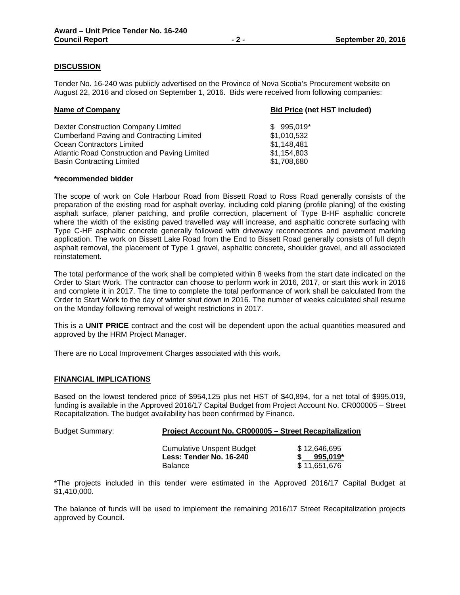# **DISCUSSION**

Tender No. 16-240 was publicly advertised on the Province of Nova Scotia's Procurement website on August 22, 2016 and closed on September 1, 2016. Bids were received from following companies:

| <b>Name of Company</b>                           | <b>Bid Price (net HST included)</b> |  |
|--------------------------------------------------|-------------------------------------|--|
| Dexter Construction Company Limited              | $$995,019$ *                        |  |
| <b>Cumberland Paving and Contracting Limited</b> | \$1,010,532                         |  |
| Ocean Contractors Limited                        | \$1,148,481                         |  |
| Atlantic Road Construction and Paving Limited    | \$1,154,803                         |  |
| <b>Basin Contracting Limited</b>                 | \$1,708,680                         |  |

### **\*recommended bidder**

The scope of work on Cole Harbour Road from Bissett Road to Ross Road generally consists of the preparation of the existing road for asphalt overlay, including cold planing (profile planing) of the existing asphalt surface, planer patching, and profile correction, placement of Type B-HF asphaltic concrete where the width of the existing paved travelled way will increase, and asphaltic concrete surfacing with Type C-HF asphaltic concrete generally followed with driveway reconnections and pavement marking application. The work on Bissett Lake Road from the End to Bissett Road generally consists of full depth asphalt removal, the placement of Type 1 gravel, asphaltic concrete, shoulder gravel, and all associated reinstatement.

The total performance of the work shall be completed within 8 weeks from the start date indicated on the Order to Start Work. The contractor can choose to perform work in 2016, 2017, or start this work in 2016 and complete it in 2017. The time to complete the total performance of work shall be calculated from the Order to Start Work to the day of winter shut down in 2016. The number of weeks calculated shall resume on the Monday following removal of weight restrictions in 2017.

This is a **UNIT PRICE** contract and the cost will be dependent upon the actual quantities measured and approved by the HRM Project Manager.

There are no Local Improvement Charges associated with this work.

## **FINANCIAL IMPLICATIONS**

Based on the lowest tendered price of \$954,125 plus net HST of \$40,894, for a net total of \$995,019, funding is available in the Approved 2016/17 Capital Budget from Project Account No. CR000005 – Street Recapitalization. The budget availability has been confirmed by Finance.

| <b>Budget Summary:</b> | Project Account No. CR000005 - Street Recapitalization      |                            |  |
|------------------------|-------------------------------------------------------------|----------------------------|--|
|                        | <b>Cumulative Unspent Budget</b><br>Less: Tender No. 16-240 | \$12,646,695<br>$995.019*$ |  |
|                        | <b>Balance</b>                                              | \$11.651.676               |  |

\*The projects included in this tender were estimated in the Approved 2016/17 Capital Budget at \$1,410,000.

The balance of funds will be used to implement the remaining 2016/17 Street Recapitalization projects approved by Council.